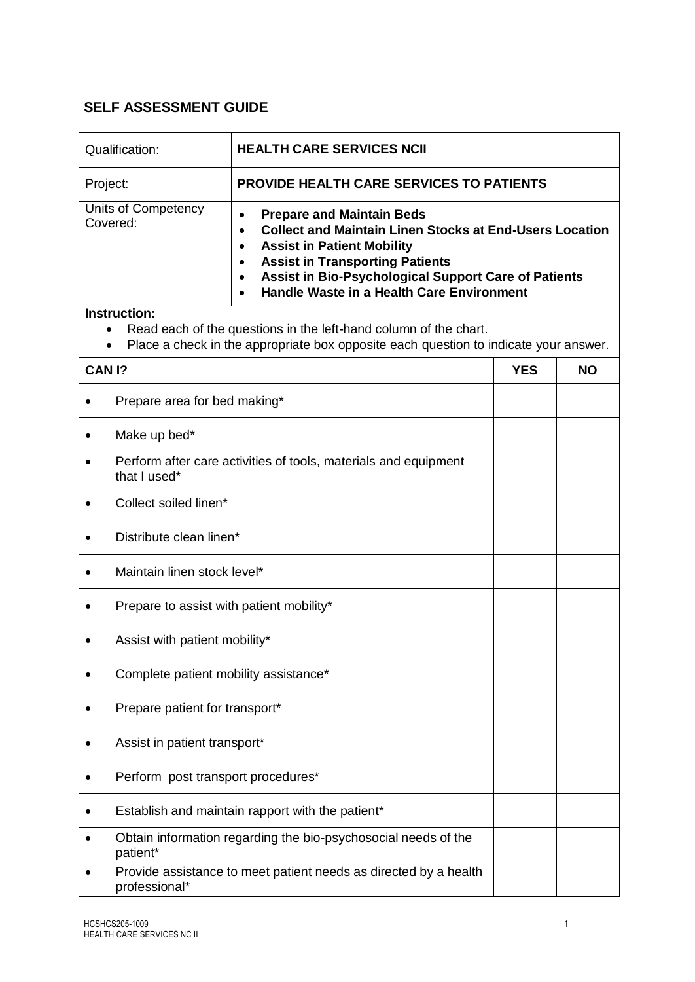## **SELF ASSESSMENT GUIDE**

| Qualification:                                                                                                                                                | <b>HEALTH CARE SERVICES NCII</b>                                                                                                                                                                                                                                                                                                                                      |            |           |  |  |
|---------------------------------------------------------------------------------------------------------------------------------------------------------------|-----------------------------------------------------------------------------------------------------------------------------------------------------------------------------------------------------------------------------------------------------------------------------------------------------------------------------------------------------------------------|------------|-----------|--|--|
| Project:                                                                                                                                                      | <b>PROVIDE HEALTH CARE SERVICES TO PATIENTS</b>                                                                                                                                                                                                                                                                                                                       |            |           |  |  |
| Units of Competency<br>Covered:                                                                                                                               | <b>Prepare and Maintain Beds</b><br>$\bullet$<br><b>Collect and Maintain Linen Stocks at End-Users Location</b><br>$\bullet$<br><b>Assist in Patient Mobility</b><br>$\bullet$<br><b>Assist in Transporting Patients</b><br>$\bullet$<br><b>Assist in Bio-Psychological Support Care of Patients</b><br>$\bullet$<br><b>Handle Waste in a Health Care Environment</b> |            |           |  |  |
| Instruction:                                                                                                                                                  |                                                                                                                                                                                                                                                                                                                                                                       |            |           |  |  |
| Read each of the questions in the left-hand column of the chart.<br>٠<br>Place a check in the appropriate box opposite each question to indicate your answer. |                                                                                                                                                                                                                                                                                                                                                                       |            |           |  |  |
| CAN <sub>1</sub> ?                                                                                                                                            |                                                                                                                                                                                                                                                                                                                                                                       | <b>YES</b> | <b>NO</b> |  |  |
|                                                                                                                                                               | Prepare area for bed making*                                                                                                                                                                                                                                                                                                                                          |            |           |  |  |
| Make up bed*                                                                                                                                                  |                                                                                                                                                                                                                                                                                                                                                                       |            |           |  |  |
| Perform after care activities of tools, materials and equipment<br>that I used*                                                                               |                                                                                                                                                                                                                                                                                                                                                                       |            |           |  |  |
| Collect soiled linen*                                                                                                                                         |                                                                                                                                                                                                                                                                                                                                                                       |            |           |  |  |
| Distribute clean linen*                                                                                                                                       |                                                                                                                                                                                                                                                                                                                                                                       |            |           |  |  |
|                                                                                                                                                               | Maintain linen stock level*                                                                                                                                                                                                                                                                                                                                           |            |           |  |  |
|                                                                                                                                                               | Prepare to assist with patient mobility*                                                                                                                                                                                                                                                                                                                              |            |           |  |  |
|                                                                                                                                                               | Assist with patient mobility*                                                                                                                                                                                                                                                                                                                                         |            |           |  |  |
|                                                                                                                                                               | Complete patient mobility assistance*                                                                                                                                                                                                                                                                                                                                 |            |           |  |  |
|                                                                                                                                                               | Prepare patient for transport*                                                                                                                                                                                                                                                                                                                                        |            |           |  |  |
|                                                                                                                                                               | Assist in patient transport*                                                                                                                                                                                                                                                                                                                                          |            |           |  |  |
|                                                                                                                                                               | Perform post transport procedures*                                                                                                                                                                                                                                                                                                                                    |            |           |  |  |
|                                                                                                                                                               | Establish and maintain rapport with the patient*                                                                                                                                                                                                                                                                                                                      |            |           |  |  |
| patient*                                                                                                                                                      | Obtain information regarding the bio-psychosocial needs of the                                                                                                                                                                                                                                                                                                        |            |           |  |  |
| professional*                                                                                                                                                 | Provide assistance to meet patient needs as directed by a health                                                                                                                                                                                                                                                                                                      |            |           |  |  |